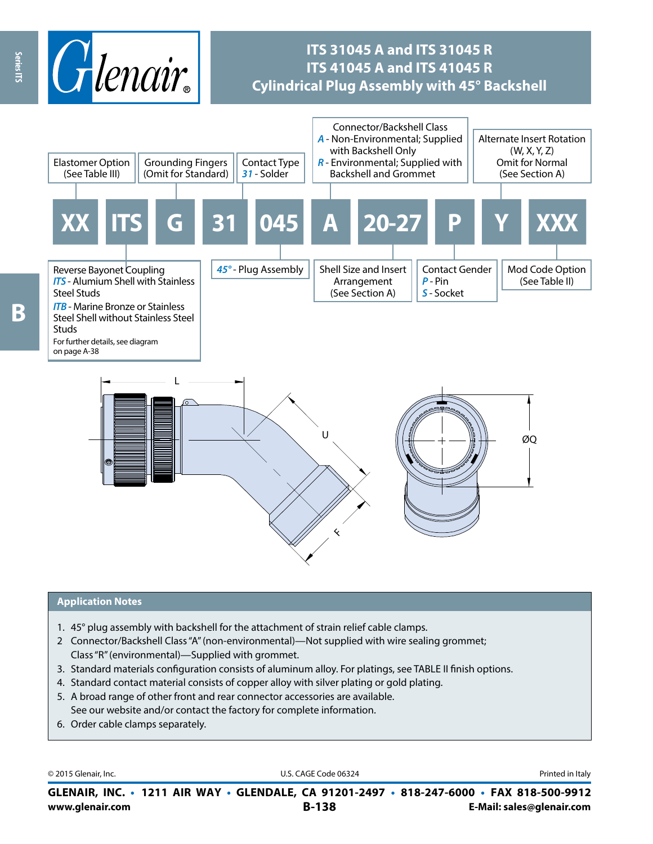

## **ITS 31045 A and ITS 31045 R ITS 41045 A and ITS 41045 R Cylindrical Plug Assembly with 45° Backshell**



 $\overline{\mathbf{c}}$ 

#### **Application Notes**

- 1. 45° plug assembly with backshell for the attachment of strain relief cable clamps.
- 2 Connector/Backshell Class "A" (non-environmental)—Not supplied with wire sealing grommet; Class "R" (environmental)—Supplied with grommet.
- 3. Standard materials configuration consists of aluminum alloy. For platings, see TABLE II finish options.
- 4. Standard contact material consists of copper alloy with silver plating or gold plating.
- 5. A broad range of other front and rear connector accessories are available. See our website and/or contact the factory for complete information.
- 6. Order cable clamps separately.

© 2015 Glenair, Inc. **Discription Construction Construction Construction Construction Construction Construction Construction Construction Construction Construction Construction Construction Construction Construction Constr** 

**www.glenair.com B-138 E-Mail: sales@glenair.com GLENAIR, INC. • 1211 AIR WAY • GLENDALE, CA 91201-2497 • 818-247-6000 • FAX 818-500-9912**

Ŗ